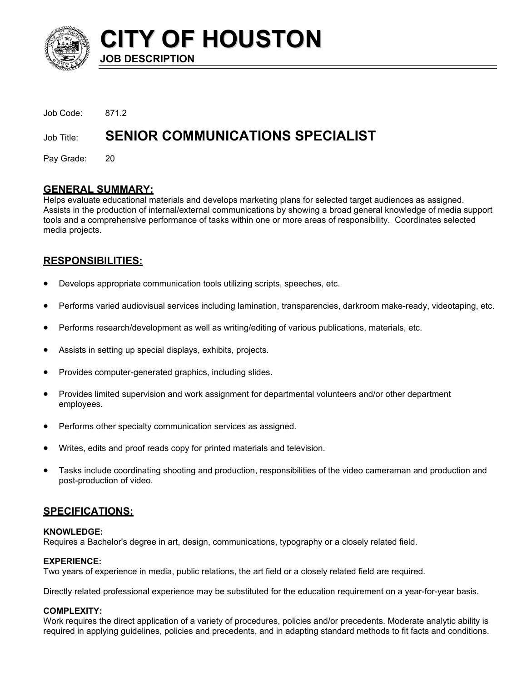

**CITY OF HOUSTON**

**JOB DESCRIPTION** 

Job Code: 871.2 Job Title: **SENIOR COMMUNICATIONS SPECIALIST** 

Pay Grade: 20

# **GENERAL SUMMARY:**

Helps evaluate educational materials and develops marketing plans for selected target audiences as assigned. Assists in the production of internal/external communications by showing a broad general knowledge of media support tools and a comprehensive performance of tasks within one or more areas of responsibility. Coordinates selected media projects.

# **RESPONSIBILITIES:**

- Develops appropriate communication tools utilizing scripts, speeches, etc.
- Performs varied audiovisual services including lamination, transparencies, darkroom make-ready, videotaping, etc.
- Performs research/development as well as writing/editing of various publications, materials, etc.
- Assists in setting up special displays, exhibits, projects.
- Provides computer-generated graphics, including slides.
- Provides limited supervision and work assignment for departmental volunteers and/or other department employees.
- Performs other specialty communication services as assigned.
- Writes, edits and proof reads copy for printed materials and television.
- Tasks include coordinating shooting and production, responsibilities of the video cameraman and production and post-production of video.

# **SPECIFICATIONS:**

## **KNOWLEDGE:**

Requires a Bachelor's degree in art, design, communications, typography or a closely related field.

## **EXPERIENCE:**

Two years of experience in media, public relations, the art field or a closely related field are required.

Directly related professional experience may be substituted for the education requirement on a year-for-year basis.

## **COMPLEXITY:**

Work requires the direct application of a variety of procedures, policies and/or precedents. Moderate analytic ability is required in applying guidelines, policies and precedents, and in adapting standard methods to fit facts and conditions.